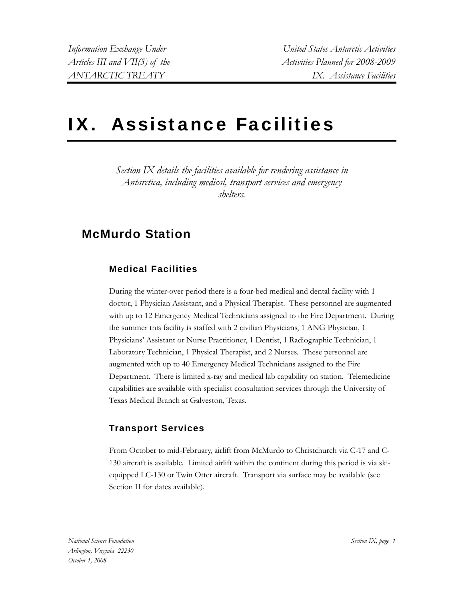# IX. Assistance Facilities

*Section IX details the facilities available for rendering assistance in Antarctica, including medical, transport services and emergency shelters.* 

### **McMurdo Station**

### **Medical Facilities**

During the winter-over period there is a four-bed medical and dental facility with 1 doctor, 1 Physician Assistant, and a Physical Therapist. These personnel are augmented with up to 12 Emergency Medical Technicians assigned to the Fire Department. During the summer this facility is staffed with 2 civilian Physicians, 1 ANG Physician, 1 Physicians' Assistant or Nurse Practitioner, 1 Dentist, 1 Radiographic Technician, 1 Laboratory Technician, 1 Physical Therapist, and 2 Nurses. These personnel are augmented with up to 40 Emergency Medical Technicians assigned to the Fire Department. There is limited x-ray and medical lab capability on station. Telemedicine capabilities are available with specialist consultation services through the University of Texas Medical Branch at Galveston, Texas.

#### **Transport Services**

From October to mid-February, airlift from McMurdo to Christchurch via C-17 and C-130 aircraft is available. Limited airlift within the continent during this period is via skiequipped LC-130 or Twin Otter aircraft. Transport via surface may be available (see Section II for dates available).

*National Science Foundation Arlington, Virginia 22230 October 1, 2008*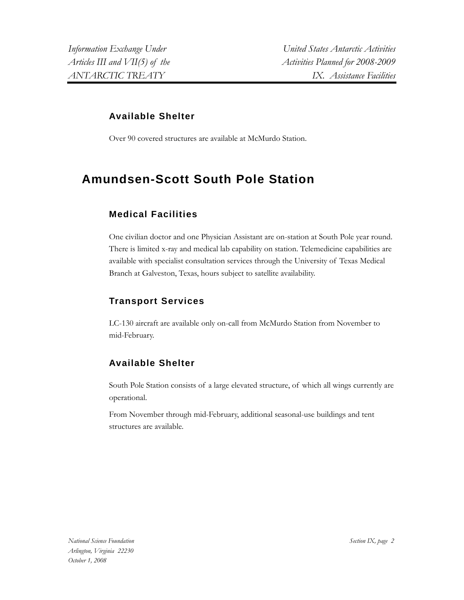#### **Available Shelter**

Over 90 covered structures are available at McMurdo Station.

## **Amundsen-Scott South Pole Station**

#### **Medical Facilities**

One civilian doctor and one Physician Assistant are on-station at South Pole year round. There is limited x-ray and medical lab capability on station. Telemedicine capabilities are available with specialist consultation services through the University of Texas Medical Branch at Galveston, Texas, hours subject to satellite availability.

### **Transport Services**

LC-130 aircraft are available only on-call from McMurdo Station from November to mid-February.

#### **Available Shelter**

South Pole Station consists of a large elevated structure, of which all wings currently are operational.

From November through mid-February, additional seasonal-use buildings and tent structures are available.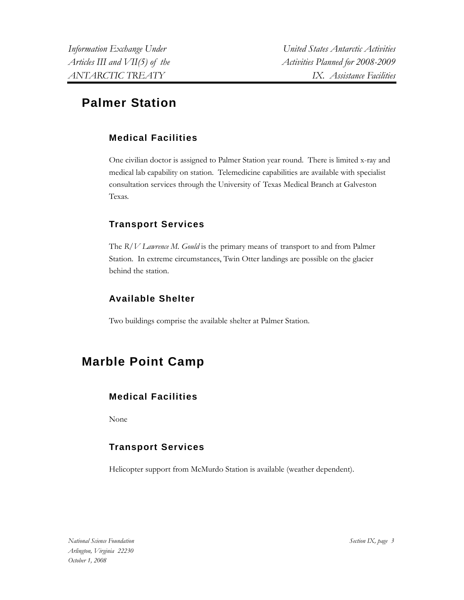*Information Exchange Under United States Antarctic Activities*  Articles III and VII(5) of the Activities Planned for 2008-2009 *ANTARCTIC TREATY IX. Assistance Facilities* 

## **Palmer Station**

### **Medical Facilities**

One civilian doctor is assigned to Palmer Station year round. There is limited x-ray and medical lab capability on station. Telemedicine capabilities are available with specialist consultation services through the University of Texas Medical Branch at Galveston Texas.

### **Transport Services**

The *R/V Lawrence M. Gould* is the primary means of transport to and from Palmer Station. In extreme circumstances, Twin Otter landings are possible on the glacier behind the station.

### **Available Shelter**

Two buildings comprise the available shelter at Palmer Station.

## **Marble Point Camp**

### **Medical Facilities**

None

### **Transport Services**

Helicopter support from McMurdo Station is available (weather dependent).